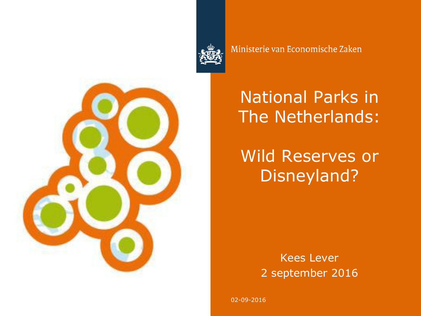

Ministerie van Economische Zaken



# National Parks in The Netherlands:

# Wild Reserves or Disneyland?

Kees Lever 2 september 2016

02-09-2016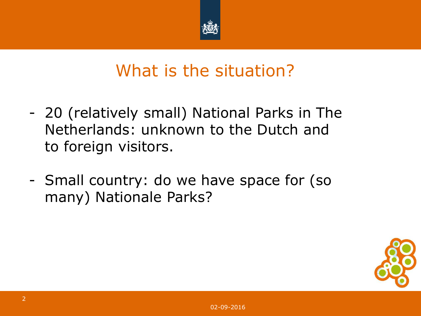

## What is the situation?

- 20 (relatively small) National Parks in The Netherlands: unknown to the Dutch and to foreign visitors.
- Small country: do we have space for (so many) Nationale Parks?

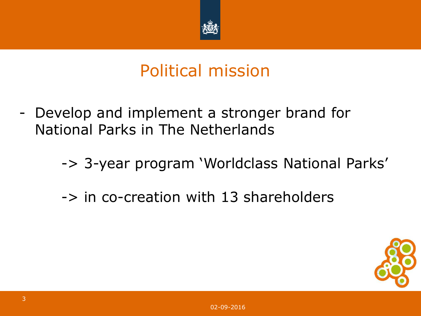

### Political mission

- Develop and implement a stronger brand for National Parks in The Netherlands
	- -> 3-year program 'Worldclass National Parks'
	- -> in co-creation with 13 shareholders

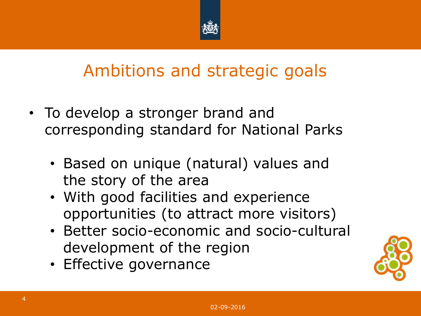

### Ambitions and strategic goals

- To develop a stronger brand and corresponding standard for National Parks
	- Based on unique (natural) values and the story of the area
	- With good facilities and experience opportunities (to attract more visitors)
	- Better socio-economic and socio-cultural development of the region
	- Effective governance

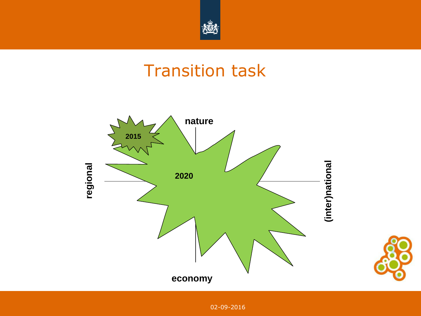

### Transition task



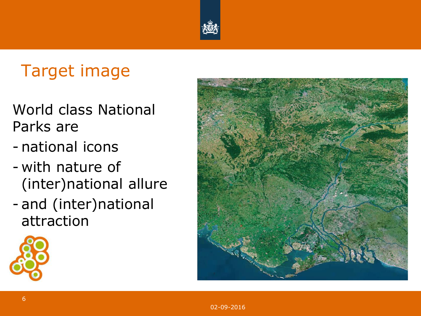

# Target image

- World class National Parks are
- national icons
- with nature of (inter)national allure
- and (inter)national attraction



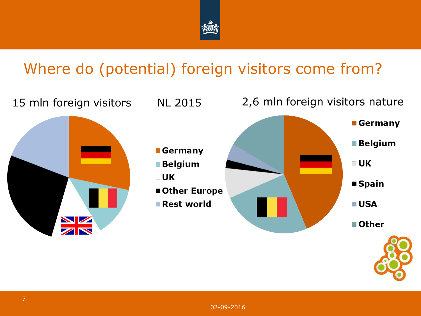

### Where do (potential) foreign visitors come from?

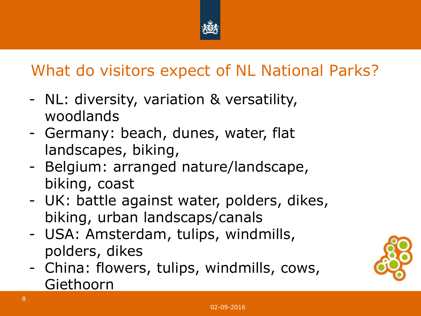

### What do visitors expect of NL National Parks?

- NL: diversity, variation & versatility, woodlands
- Germany: beach, dunes, water, flat landscapes, biking,
- Belgium: arranged nature/landscape, biking, coast
- UK: battle against water, polders, dikes, biking, urban landscaps/canals
- USA: Amsterdam, tulips, windmills, polders, dikes
- China: flowers, tulips, windmills, cows, Giethoorn

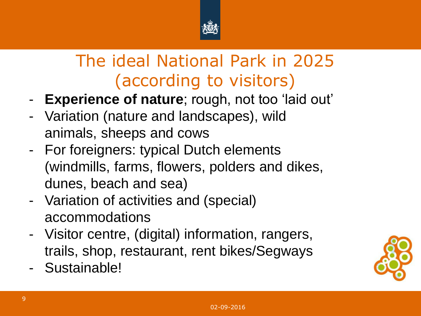

# The ideal National Park in 2025 (according to visitors)

- **Experience of nature**; rough, not too 'laid out'
- Variation (nature and landscapes), wild animals, sheeps and cows
- For foreigners: typical Dutch elements (windmills, farms, flowers, polders and dikes, dunes, beach and sea)
- Variation of activities and (special) accommodations
- Visitor centre, (digital) information, rangers, trails, shop, restaurant, rent bikes/Segways
- Sustainable!

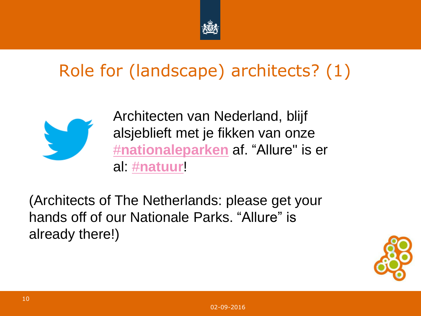

# Role for (landscape) architects? (1)



Architecten van Nederland, blijf alsjeblieft met je fikken van onze [#](https://twitter.com/hashtag/nationaleparken?src=hash)**[nationaleparken](https://twitter.com/hashtag/nationaleparken?src=hash)** af. "Allure" is er al: [#](https://twitter.com/hashtag/natuur?src=hash)**[natuur](https://twitter.com/hashtag/natuur?src=hash)**!

(Architects of The Netherlands: please get your hands off of our Nationale Parks. "Allure" is already there!)

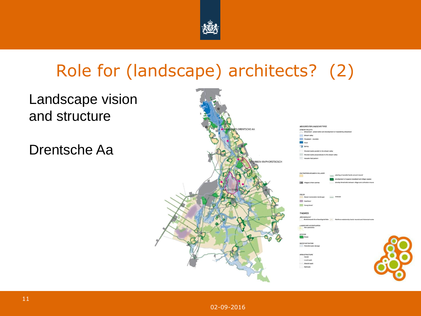

## Role for (landscape) architects? (2)

#### Landscape vision and structure

Drentsche Aa

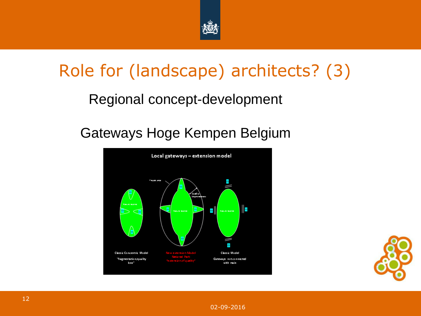

# Role for (landscape) architects? (3)

#### Regional concept-development

#### Gateways Hoge Kempen Belgium





02-09-2016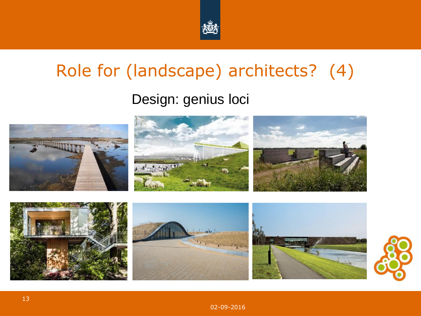

# Role for (landscape) architects? (4)

#### Design: genius loci

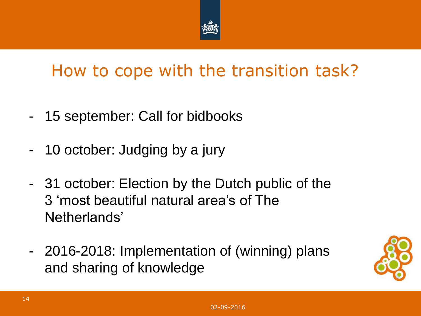

## How to cope with the transition task?

- 15 september: Call for bidbooks
- 10 october: Judging by a jury
- 31 october: Election by the Dutch public of the 3 'most beautiful natural area's of The Netherlands'
- 2016-2018: Implementation of (winning) plans and sharing of knowledge